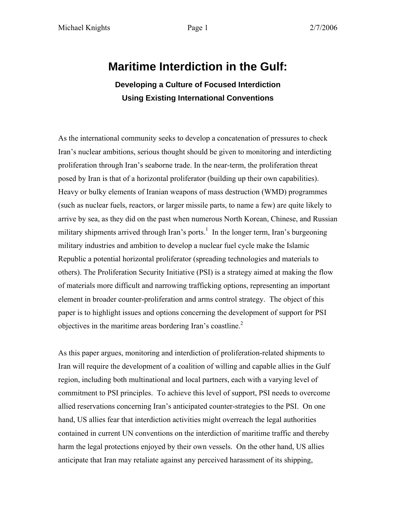# **Maritime Interdiction in the Gulf:**

**Developing a Culture of Focused Interdiction Using Existing International Conventions**

As the international community seeks to develop a concatenation of pressures to check Iran's nuclear ambitions, serious thought should be given to monitoring and interdicting proliferation through Iran's seaborne trade. In the near-term, the proliferation threat posed by Iran is that of a horizontal proliferator (building up their own capabilities). Heavy or bulky elements of Iranian weapons of mass destruction (WMD) programmes (such as nuclear fuels, reactors, or larger missile parts, to name a few) are quite likely to arrive by sea, as they did on the past when numerous North Korean, Chinese, and Russian military shipments arrived through Iran's ports.<sup>1</sup> In the longer term, Iran's burgeoning military industries and ambition to develop a nuclear fuel cycle make the Islamic Republic a potential horizontal proliferator (spreading technologies and materials to others). The Proliferation Security Initiative (PSI) is a strategy aimed at making the flow of materials more difficult and narrowing trafficking options, representing an important element in broader counter-proliferation and arms control strategy. The object of this paper is to highlight issues and options concerning the development of support for PSI objectives in the maritime areas bordering Iran's coastline. $2$ 

As this paper argues, monitoring and interdiction of proliferation-related shipments to Iran will require the development of a coalition of willing and capable allies in the Gulf region, including both multinational and local partners, each with a varying level of commitment to PSI principles. To achieve this level of support, PSI needs to overcome allied reservations concerning Iran's anticipated counter-strategies to the PSI. On one hand, US allies fear that interdiction activities might overreach the legal authorities contained in current UN conventions on the interdiction of maritime traffic and thereby harm the legal protections enjoyed by their own vessels. On the other hand, US allies anticipate that Iran may retaliate against any perceived harassment of its shipping,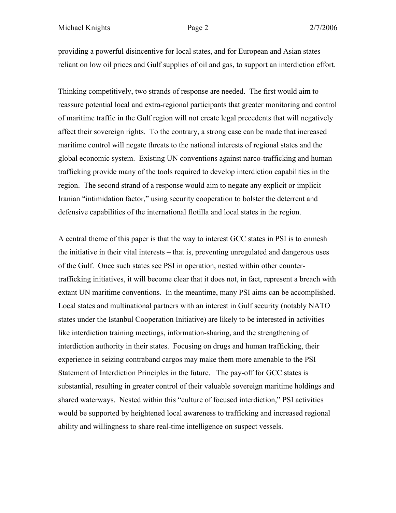providing a powerful disincentive for local states, and for European and Asian states reliant on low oil prices and Gulf supplies of oil and gas, to support an interdiction effort.

Thinking competitively, two strands of response are needed. The first would aim to reassure potential local and extra-regional participants that greater monitoring and control of maritime traffic in the Gulf region will not create legal precedents that will negatively affect their sovereign rights. To the contrary, a strong case can be made that increased maritime control will negate threats to the national interests of regional states and the global economic system. Existing UN conventions against narco-trafficking and human trafficking provide many of the tools required to develop interdiction capabilities in the region. The second strand of a response would aim to negate any explicit or implicit Iranian "intimidation factor," using security cooperation to bolster the deterrent and defensive capabilities of the international flotilla and local states in the region.

A central theme of this paper is that the way to interest GCC states in PSI is to enmesh the initiative in their vital interests – that is, preventing unregulated and dangerous uses of the Gulf. Once such states see PSI in operation, nested within other countertrafficking initiatives, it will become clear that it does not, in fact, represent a breach with extant UN maritime conventions. In the meantime, many PSI aims can be accomplished. Local states and multinational partners with an interest in Gulf security (notably NATO states under the Istanbul Cooperation Initiative) are likely to be interested in activities like interdiction training meetings, information-sharing, and the strengthening of interdiction authority in their states. Focusing on drugs and human trafficking, their experience in seizing contraband cargos may make them more amenable to the PSI Statement of Interdiction Principles in the future. The pay-off for GCC states is substantial, resulting in greater control of their valuable sovereign maritime holdings and shared waterways. Nested within this "culture of focused interdiction," PSI activities would be supported by heightened local awareness to trafficking and increased regional ability and willingness to share real-time intelligence on suspect vessels.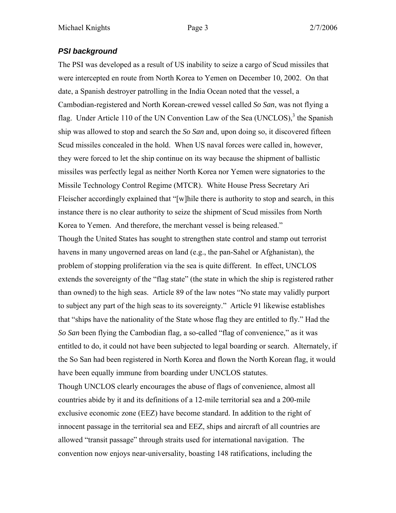# *PSI background*

The PSI was developed as a result of US inability to seize a cargo of Scud missiles that were intercepted en route from North Korea to Yemen on December 10, 2002. On that date, a Spanish destroyer patrolling in the India Ocean noted that the vessel, a Cambodian-registered and North Korean-crewed vessel called *So San*, was not flying a flag. Under Article 110 of the UN Convention Law of the Sea (UNCLOS),<sup>3</sup> the Spanish ship was allowed to stop and search the *So San* and, upon doing so, it discovered fifteen Scud missiles concealed in the hold. When US naval forces were called in, however, they were forced to let the ship continue on its way because the shipment of ballistic missiles was perfectly legal as neither North Korea nor Yemen were signatories to the Missile Technology Control Regime (MTCR). White House Press Secretary Ari Fleischer accordingly explained that "[w]hile there is authority to stop and search, in this instance there is no clear authority to seize the shipment of Scud missiles from North Korea to Yemen. And therefore, the merchant vessel is being released." Though the United States has sought to strengthen state control and stamp out terrorist havens in many ungoverned areas on land (e.g., the pan-Sahel or Afghanistan), the problem of stopping proliferation via the sea is quite different. In effect, UNCLOS

extends the sovereignty of the "flag state" (the state in which the ship is registered rather than owned) to the high seas. Article 89 of the law notes "No state may validly purport to subject any part of the high seas to its sovereignty." Article 91 likewise establishes that "ships have the nationality of the State whose flag they are entitled to fly." Had the *So San* been flying the Cambodian flag, a so-called "flag of convenience," as it was entitled to do, it could not have been subjected to legal boarding or search. Alternately, if the So San had been registered in North Korea and flown the North Korean flag, it would have been equally immune from boarding under UNCLOS statutes.

Though UNCLOS clearly encourages the abuse of flags of convenience, almost all countries abide by it and its definitions of a 12-mile territorial sea and a 200-mile exclusive economic zone (EEZ) have become standard. In addition to the right of innocent passage in the territorial sea and EEZ, ships and aircraft of all countries are allowed "transit passage" through straits used for international navigation. The convention now enjoys near-universality, boasting 148 ratifications, including the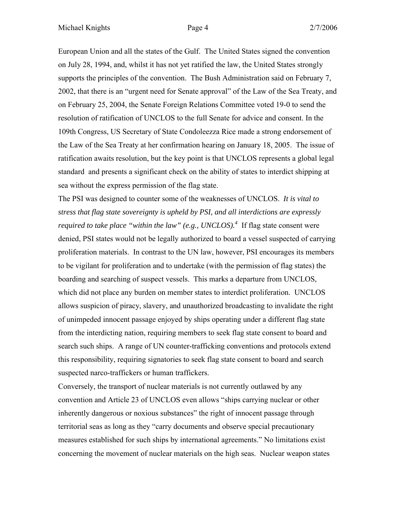European Union and all the states of the Gulf. The United States signed the convention on July 28, 1994, and, whilst it has not yet ratified the law, the United States strongly supports the principles of the convention. The Bush Administration said on February 7, 2002, that there is an "urgent need for Senate approval" of the Law of the Sea Treaty, and on February 25, 2004, the Senate Foreign Relations Committee voted 19-0 to send the resolution of ratification of UNCLOS to the full Senate for advice and consent. In the 109th Congress, US Secretary of State Condoleezza Rice made a strong endorsement of the Law of the Sea Treaty at her confirmation hearing on January 18, 2005. The issue of ratification awaits resolution, but the key point is that UNCLOS represents a global legal standard and presents a significant check on the ability of states to interdict shipping at sea without the express permission of the flag state.

The PSI was designed to counter some of the weaknesses of UNCLOS. *It is vital to stress that flag state sovereignty is upheld by PSI, and all interdictions are expressly required to take place "within the law" (e.g., UNCLOS).<sup>4</sup>* If flag state consent were denied, PSI states would not be legally authorized to board a vessel suspected of carrying proliferation materials. In contrast to the UN law, however, PSI encourages its members to be vigilant for proliferation and to undertake (with the permission of flag states) the boarding and searching of suspect vessels. This marks a departure from UNCLOS, which did not place any burden on member states to interdict proliferation. UNCLOS allows suspicion of piracy, slavery, and unauthorized broadcasting to invalidate the right of unimpeded innocent passage enjoyed by ships operating under a different flag state from the interdicting nation, requiring members to seek flag state consent to board and search such ships. A range of UN counter-trafficking conventions and protocols extend this responsibility, requiring signatories to seek flag state consent to board and search suspected narco-traffickers or human traffickers.

Conversely, the transport of nuclear materials is not currently outlawed by any convention and Article 23 of UNCLOS even allows "ships carrying nuclear or other inherently dangerous or noxious substances" the right of innocent passage through territorial seas as long as they "carry documents and observe special precautionary measures established for such ships by international agreements." No limitations exist concerning the movement of nuclear materials on the high seas. Nuclear weapon states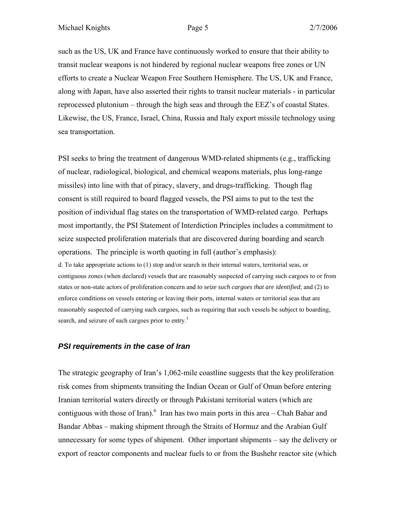such as the US, UK and France have continuously worked to ensure that their ability to transit nuclear weapons is not hindered by regional nuclear weapons free zones or UN efforts to create a Nuclear Weapon Free Southern Hemisphere. The US, UK and France, along with Japan, have also asserted their rights to transit nuclear materials - in particular reprocessed plutonium – through the high seas and through the EEZ's of coastal States. Likewise, the US, France, Israel, China, Russia and Italy export missile technology using sea transportation.

PSI seeks to bring the treatment of dangerous WMD-related shipments (e.g., trafficking of nuclear, radiological, biological, and chemical weapons materials, plus long-range missiles) into line with that of piracy, slavery, and drugs-trafficking. Though flag consent is still required to board flagged vessels, the PSI aims to put to the test the position of individual flag states on the transportation of WMD-related cargo. Perhaps most importantly, the PSI Statement of Interdiction Principles includes a commitment to seize suspected proliferation materials that are discovered during boarding and search operations. The principle is worth quoting in full (author's emphasis):

d. To take appropriate actions to (1) stop and/or search in their internal waters, territorial seas, or contiguous zones (when declared) vessels that are reasonably suspected of carrying such cargoes to or from states or non-state actors of proliferation concern and *to seize such cargoes that are identified*; and (2) to enforce conditions on vessels entering or leaving their ports, internal waters or territorial seas that are reasonably suspected of carrying such cargoes, such as requiring that such vessels be subject to boarding, search, and seizure of such cargoes prior to entry.<sup>5</sup>

### *PSI requirements in the case of Iran*

The strategic geography of Iran's 1,062-mile coastline suggests that the key proliferation risk comes from shipments transiting the Indian Ocean or Gulf of Oman before entering Iranian territorial waters directly or through Pakistani territorial waters (which are contiguous with those of Iran).  $\frac{6}{5}$  Iran has two main ports in this area – Chah Bahar and Bandar Abbas – making shipment through the Straits of Hormuz and the Arabian Gulf unnecessary for some types of shipment. Other important shipments – say the delivery or export of reactor components and nuclear fuels to or from the Bushehr reactor site (which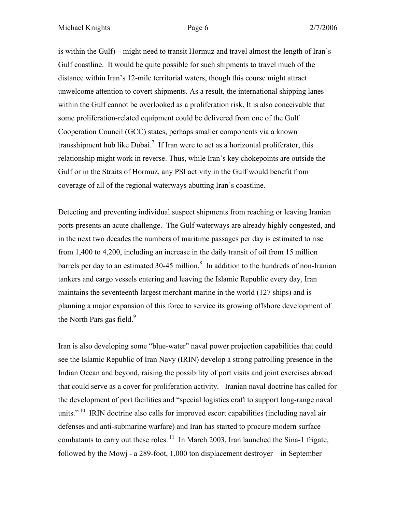is within the Gulf) – might need to transit Hormuz and travel almost the length of Iran's Gulf coastline. It would be quite possible for such shipments to travel much of the distance within Iran's 12-mile territorial waters, though this course might attract unwelcome attention to covert shipments. As a result, the international shipping lanes within the Gulf cannot be overlooked as a proliferation risk. It is also conceivable that some proliferation-related equipment could be delivered from one of the Gulf Cooperation Council (GCC) states, perhaps smaller components via a known transshipment hub like Dubai.<sup>7</sup> If Iran were to act as a horizontal proliferator, this relationship might work in reverse. Thus, while Iran's key chokepoints are outside the Gulf or in the Straits of Hormuz, any PSI activity in the Gulf would benefit from coverage of all of the regional waterways abutting Iran's coastline.

Detecting and preventing individual suspect shipments from reaching or leaving Iranian ports presents an acute challenge. The Gulf waterways are already highly congested, and in the next two decades the numbers of maritime passages per day is estimated to rise from 1,400 to 4,200, including an increase in the daily transit of oil from 15 million barrels per day to an estimated 30-45 million.<sup>8</sup> In addition to the hundreds of non-Iranian tankers and cargo vessels entering and leaving the Islamic Republic every day, Iran maintains the seventeenth largest merchant marine in the world (127 ships) and is planning a major expansion of this force to service its growing offshore development of the North Pars gas field. $9$ 

Iran is also developing some "blue-water" naval power projection capabilities that could see the Islamic Republic of Iran Navy (IRIN) develop a strong patrolling presence in the Indian Ocean and beyond, raising the possibility of port visits and joint exercises abroad that could serve as a cover for proliferation activity. Iranian naval doctrine has called for the development of port facilities and "special logistics craft to support long-range naval units."<sup>10</sup> IRIN doctrine also calls for improved escort capabilities (including naval air defenses and anti-submarine warfare) and Iran has started to procure modern surface combatants to carry out these roles.  $\frac{11}{1}$  In March 2003, Iran launched the Sina-1 frigate, followed by the Mowj - a 289-foot, 1,000 ton displacement destroyer – in September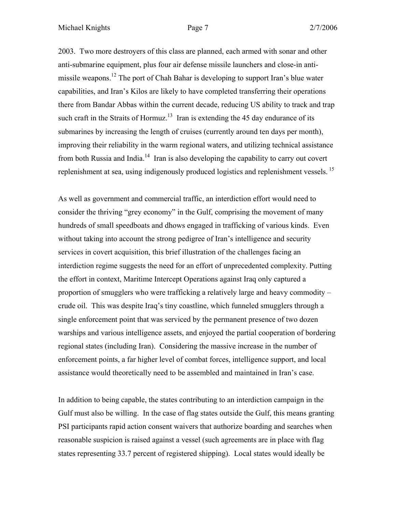2003. Two more destroyers of this class are planned, each armed with sonar and other anti-submarine equipment, plus four air defense missile launchers and close-in antimissile weapons.12 The port of Chah Bahar is developing to support Iran's blue water capabilities, and Iran's Kilos are likely to have completed transferring their operations there from Bandar Abbas within the current decade, reducing US ability to track and trap such craft in the Straits of Hormuz.<sup>13</sup> Iran is extending the 45 day endurance of its submarines by increasing the length of cruises (currently around ten days per month), improving their reliability in the warm regional waters, and utilizing technical assistance from both Russia and India.<sup>14</sup> Iran is also developing the capability to carry out covert replenishment at sea, using indigenously produced logistics and replenishment vessels.<sup>15</sup>

As well as government and commercial traffic, an interdiction effort would need to consider the thriving "grey economy" in the Gulf, comprising the movement of many hundreds of small speedboats and dhows engaged in trafficking of various kinds. Even without taking into account the strong pedigree of Iran's intelligence and security services in covert acquisition, this brief illustration of the challenges facing an interdiction regime suggests the need for an effort of unprecedented complexity. Putting the effort in context, Maritime Intercept Operations against Iraq only captured a proportion of smugglers who were trafficking a relatively large and heavy commodity – crude oil. This was despite Iraq's tiny coastline, which funneled smugglers through a single enforcement point that was serviced by the permanent presence of two dozen warships and various intelligence assets, and enjoyed the partial cooperation of bordering regional states (including Iran). Considering the massive increase in the number of enforcement points, a far higher level of combat forces, intelligence support, and local assistance would theoretically need to be assembled and maintained in Iran's case.

In addition to being capable, the states contributing to an interdiction campaign in the Gulf must also be willing. In the case of flag states outside the Gulf, this means granting PSI participants rapid action consent waivers that authorize boarding and searches when reasonable suspicion is raised against a vessel (such agreements are in place with flag states representing 33.7 percent of registered shipping). Local states would ideally be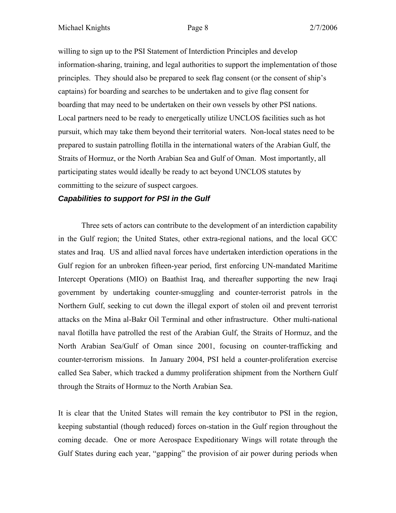willing to sign up to the PSI Statement of Interdiction Principles and develop information-sharing, training, and legal authorities to support the implementation of those principles. They should also be prepared to seek flag consent (or the consent of ship's captains) for boarding and searches to be undertaken and to give flag consent for boarding that may need to be undertaken on their own vessels by other PSI nations. Local partners need to be ready to energetically utilize UNCLOS facilities such as hot pursuit, which may take them beyond their territorial waters. Non-local states need to be prepared to sustain patrolling flotilla in the international waters of the Arabian Gulf, the Straits of Hormuz, or the North Arabian Sea and Gulf of Oman. Most importantly, all participating states would ideally be ready to act beyond UNCLOS statutes by committing to the seizure of suspect cargoes.

# *Capabilities to support for PSI in the Gulf*

Three sets of actors can contribute to the development of an interdiction capability in the Gulf region; the United States, other extra-regional nations, and the local GCC states and Iraq. US and allied naval forces have undertaken interdiction operations in the Gulf region for an unbroken fifteen-year period, first enforcing UN-mandated Maritime Intercept Operations (MIO) on Baathist Iraq, and thereafter supporting the new Iraqi government by undertaking counter-smuggling and counter-terrorist patrols in the Northern Gulf, seeking to cut down the illegal export of stolen oil and prevent terrorist attacks on the Mina al-Bakr Oil Terminal and other infrastructure. Other multi-national naval flotilla have patrolled the rest of the Arabian Gulf, the Straits of Hormuz, and the North Arabian Sea/Gulf of Oman since 2001, focusing on counter-trafficking and counter-terrorism missions. In January 2004, PSI held a counter-proliferation exercise called Sea Saber, which tracked a dummy proliferation shipment from the Northern Gulf through the Straits of Hormuz to the North Arabian Sea.

It is clear that the United States will remain the key contributor to PSI in the region, keeping substantial (though reduced) forces on-station in the Gulf region throughout the coming decade. One or more Aerospace Expeditionary Wings will rotate through the Gulf States during each year, "gapping" the provision of air power during periods when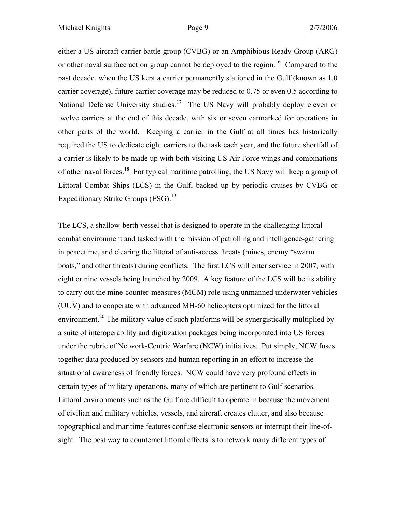either a US aircraft carrier battle group (CVBG) or an Amphibious Ready Group (ARG) or other naval surface action group cannot be deployed to the region.<sup>16</sup> Compared to the past decade, when the US kept a carrier permanently stationed in the Gulf (known as 1.0 carrier coverage), future carrier coverage may be reduced to 0.75 or even 0.5 according to National Defense University studies.<sup>17</sup> The US Navy will probably deploy eleven or twelve carriers at the end of this decade, with six or seven earmarked for operations in other parts of the world. Keeping a carrier in the Gulf at all times has historically required the US to dedicate eight carriers to the task each year, and the future shortfall of a carrier is likely to be made up with both visiting US Air Force wings and combinations of other naval forces.18 For typical maritime patrolling, the US Navy will keep a group of Littoral Combat Ships (LCS) in the Gulf, backed up by periodic cruises by CVBG or Expeditionary Strike Groups  $(ESG).<sup>19</sup>$ 

The LCS, a shallow-berth vessel that is designed to operate in the challenging littoral combat environment and tasked with the mission of patrolling and intelligence-gathering in peacetime, and clearing the littoral of anti-access threats (mines, enemy "swarm boats," and other threats) during conflicts. The first LCS will enter service in 2007, with eight or nine vessels being launched by 2009. A key feature of the LCS will be its ability to carry out the mine-counter-measures (MCM) role using unmanned underwater vehicles (UUV) and to cooperate with advanced MH-60 helicopters optimized for the littoral environment.<sup>20</sup> The military value of such platforms will be synergistically multiplied by a suite of interoperability and digitization packages being incorporated into US forces under the rubric of Network-Centric Warfare (NCW) initiatives. Put simply, NCW fuses together data produced by sensors and human reporting in an effort to increase the situational awareness of friendly forces. NCW could have very profound effects in certain types of military operations, many of which are pertinent to Gulf scenarios. Littoral environments such as the Gulf are difficult to operate in because the movement of civilian and military vehicles, vessels, and aircraft creates clutter, and also because topographical and maritime features confuse electronic sensors or interrupt their line-ofsight. The best way to counteract littoral effects is to network many different types of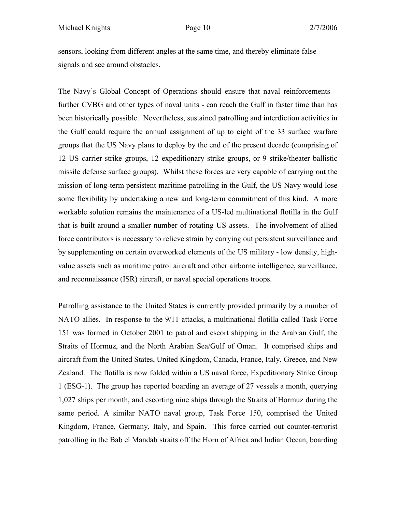sensors, looking from different angles at the same time, and thereby eliminate false signals and see around obstacles.

The Navy's Global Concept of Operations should ensure that naval reinforcements – further CVBG and other types of naval units - can reach the Gulf in faster time than has been historically possible. Nevertheless, sustained patrolling and interdiction activities in the Gulf could require the annual assignment of up to eight of the 33 surface warfare groups that the US Navy plans to deploy by the end of the present decade (comprising of 12 US carrier strike groups, 12 expeditionary strike groups, or 9 strike/theater ballistic missile defense surface groups). Whilst these forces are very capable of carrying out the mission of long-term persistent maritime patrolling in the Gulf, the US Navy would lose some flexibility by undertaking a new and long-term commitment of this kind. A more workable solution remains the maintenance of a US-led multinational flotilla in the Gulf that is built around a smaller number of rotating US assets. The involvement of allied force contributors is necessary to relieve strain by carrying out persistent surveillance and by supplementing on certain overworked elements of the US military - low density, highvalue assets such as maritime patrol aircraft and other airborne intelligence, surveillance, and reconnaissance (ISR) aircraft, or naval special operations troops.

Patrolling assistance to the United States is currently provided primarily by a number of NATO allies. In response to the 9/11 attacks, a multinational flotilla called Task Force 151 was formed in October 2001 to patrol and escort shipping in the Arabian Gulf, the Straits of Hormuz, and the North Arabian Sea/Gulf of Oman. It comprised ships and aircraft from the United States, United Kingdom, Canada, France, Italy, Greece, and New Zealand. The flotilla is now folded within a US naval force, Expeditionary Strike Group 1 (ESG-1). The group has reported boarding an average of 27 vessels a month, querying 1,027 ships per month, and escorting nine ships through the Straits of Hormuz during the same period. A similar NATO naval group, Task Force 150, comprised the United Kingdom, France, Germany, Italy, and Spain. This force carried out counter-terrorist patrolling in the Bab el Mandab straits off the Horn of Africa and Indian Ocean, boarding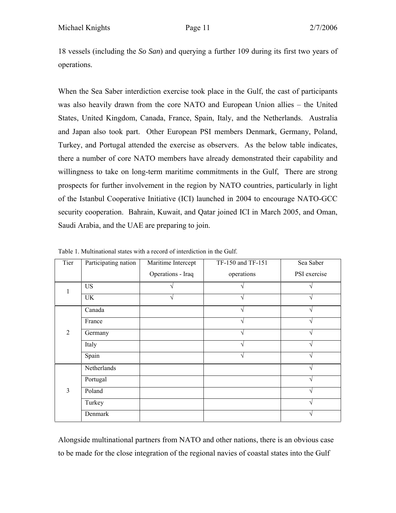18 vessels (including the *So San*) and querying a further 109 during its first two years of operations.

When the Sea Saber interdiction exercise took place in the Gulf, the cast of participants was also heavily drawn from the core NATO and European Union allies – the United States, United Kingdom, Canada, France, Spain, Italy, and the Netherlands. Australia and Japan also took part. Other European PSI members Denmark, Germany, Poland, Turkey, and Portugal attended the exercise as observers. As the below table indicates, there a number of core NATO members have already demonstrated their capability and willingness to take on long-term maritime commitments in the Gulf, There are strong prospects for further involvement in the region by NATO countries, particularly in light of the Istanbul Cooperative Initiative (ICI) launched in 2004 to encourage NATO-GCC security cooperation. Bahrain, Kuwait, and Qatar joined ICI in March 2005, and Oman, Saudi Arabia, and the UAE are preparing to join.

| Tier           | Participating nation | Maritime Intercept | TF-150 and TF-151 | Sea Saber    |
|----------------|----------------------|--------------------|-------------------|--------------|
|                |                      | Operations - Iraq  | operations        | PSI exercise |
|                | <b>US</b>            |                    |                   |              |
|                | UK                   |                    |                   |              |
| $\overline{2}$ | Canada               |                    |                   |              |
|                | France               |                    |                   |              |
|                | Germany              |                    |                   |              |
|                | Italy                |                    |                   |              |
|                | Spain                |                    |                   |              |
| 3              | Netherlands          |                    |                   |              |
|                | Portugal             |                    |                   |              |
|                | Poland               |                    |                   |              |
|                | Turkey               |                    |                   |              |
|                | Denmark              |                    |                   |              |

Table 1. Multinational states with a record of interdiction in the Gulf.

Alongside multinational partners from NATO and other nations, there is an obvious case to be made for the close integration of the regional navies of coastal states into the Gulf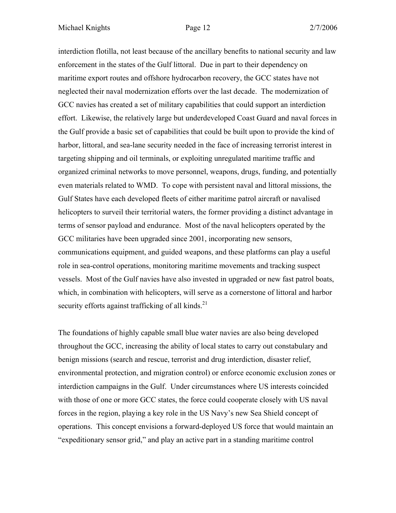interdiction flotilla, not least because of the ancillary benefits to national security and law enforcement in the states of the Gulf littoral. Due in part to their dependency on maritime export routes and offshore hydrocarbon recovery, the GCC states have not neglected their naval modernization efforts over the last decade. The modernization of GCC navies has created a set of military capabilities that could support an interdiction effort. Likewise, the relatively large but underdeveloped Coast Guard and naval forces in the Gulf provide a basic set of capabilities that could be built upon to provide the kind of harbor, littoral, and sea-lane security needed in the face of increasing terrorist interest in targeting shipping and oil terminals, or exploiting unregulated maritime traffic and organized criminal networks to move personnel, weapons, drugs, funding, and potentially even materials related to WMD. To cope with persistent naval and littoral missions, the Gulf States have each developed fleets of either maritime patrol aircraft or navalised helicopters to surveil their territorial waters, the former providing a distinct advantage in terms of sensor payload and endurance. Most of the naval helicopters operated by the GCC militaries have been upgraded since 2001, incorporating new sensors, communications equipment, and guided weapons, and these platforms can play a useful role in sea-control operations, monitoring maritime movements and tracking suspect vessels. Most of the Gulf navies have also invested in upgraded or new fast patrol boats, which, in combination with helicopters, will serve as a cornerstone of littoral and harbor security efforts against trafficking of all kinds. $^{21}$ 

The foundations of highly capable small blue water navies are also being developed throughout the GCC, increasing the ability of local states to carry out constabulary and benign missions (search and rescue, terrorist and drug interdiction, disaster relief, environmental protection, and migration control) or enforce economic exclusion zones or interdiction campaigns in the Gulf. Under circumstances where US interests coincided with those of one or more GCC states, the force could cooperate closely with US naval forces in the region, playing a key role in the US Navy's new Sea Shield concept of operations. This concept envisions a forward-deployed US force that would maintain an "expeditionary sensor grid," and play an active part in a standing maritime control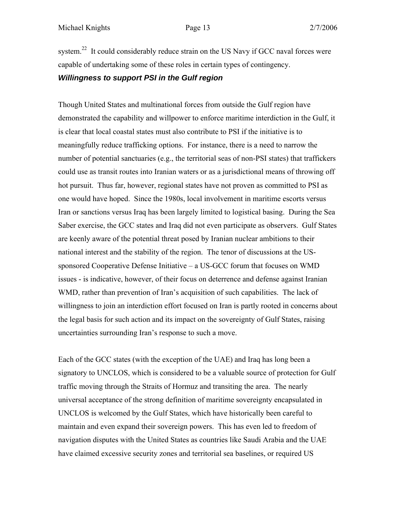system.<sup>22</sup> It could considerably reduce strain on the US Navy if GCC naval forces were capable of undertaking some of these roles in certain types of contingency.

### *Willingness to support PSI in the Gulf region*

Though United States and multinational forces from outside the Gulf region have demonstrated the capability and willpower to enforce maritime interdiction in the Gulf, it is clear that local coastal states must also contribute to PSI if the initiative is to meaningfully reduce trafficking options. For instance, there is a need to narrow the number of potential sanctuaries (e.g., the territorial seas of non-PSI states) that traffickers could use as transit routes into Iranian waters or as a jurisdictional means of throwing off hot pursuit. Thus far, however, regional states have not proven as committed to PSI as one would have hoped. Since the 1980s, local involvement in maritime escorts versus Iran or sanctions versus Iraq has been largely limited to logistical basing. During the Sea Saber exercise, the GCC states and Iraq did not even participate as observers. Gulf States are keenly aware of the potential threat posed by Iranian nuclear ambitions to their national interest and the stability of the region. The tenor of discussions at the USsponsored Cooperative Defense Initiative – a US-GCC forum that focuses on WMD issues - is indicative, however, of their focus on deterrence and defense against Iranian WMD, rather than prevention of Iran's acquisition of such capabilities. The lack of willingness to join an interdiction effort focused on Iran is partly rooted in concerns about the legal basis for such action and its impact on the sovereignty of Gulf States, raising uncertainties surrounding Iran's response to such a move.

Each of the GCC states (with the exception of the UAE) and Iraq has long been a signatory to UNCLOS, which is considered to be a valuable source of protection for Gulf traffic moving through the Straits of Hormuz and transiting the area. The nearly universal acceptance of the strong definition of maritime sovereignty encapsulated in UNCLOS is welcomed by the Gulf States, which have historically been careful to maintain and even expand their sovereign powers. This has even led to freedom of navigation disputes with the United States as countries like Saudi Arabia and the UAE have claimed excessive security zones and territorial sea baselines, or required US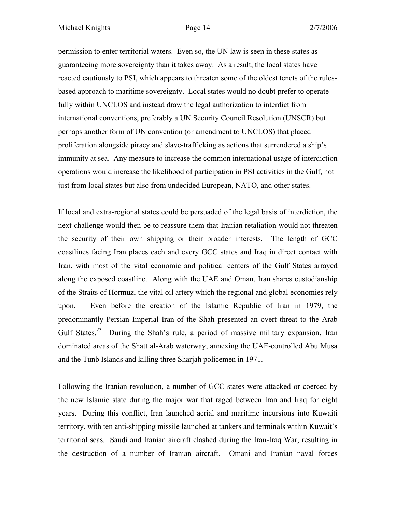permission to enter territorial waters. Even so, the UN law is seen in these states as guaranteeing more sovereignty than it takes away. As a result, the local states have reacted cautiously to PSI, which appears to threaten some of the oldest tenets of the rulesbased approach to maritime sovereignty. Local states would no doubt prefer to operate fully within UNCLOS and instead draw the legal authorization to interdict from international conventions, preferably a UN Security Council Resolution (UNSCR) but perhaps another form of UN convention (or amendment to UNCLOS) that placed proliferation alongside piracy and slave-trafficking as actions that surrendered a ship's immunity at sea. Any measure to increase the common international usage of interdiction operations would increase the likelihood of participation in PSI activities in the Gulf, not just from local states but also from undecided European, NATO, and other states.

If local and extra-regional states could be persuaded of the legal basis of interdiction, the next challenge would then be to reassure them that Iranian retaliation would not threaten the security of their own shipping or their broader interests. The length of GCC coastlines facing Iran places each and every GCC states and Iraq in direct contact with Iran, with most of the vital economic and political centers of the Gulf States arrayed along the exposed coastline. Along with the UAE and Oman, Iran shares custodianship of the Straits of Hormuz, the vital oil artery which the regional and global economies rely upon. Even before the creation of the Islamic Republic of Iran in 1979, the predominantly Persian Imperial Iran of the Shah presented an overt threat to the Arab Gulf States.<sup>23</sup> During the Shah's rule, a period of massive military expansion, Iran dominated areas of the Shatt al-Arab waterway, annexing the UAE-controlled Abu Musa and the Tunb Islands and killing three Sharjah policemen in 1971.

Following the Iranian revolution, a number of GCC states were attacked or coerced by the new Islamic state during the major war that raged between Iran and Iraq for eight years. During this conflict, Iran launched aerial and maritime incursions into Kuwaiti territory, with ten anti-shipping missile launched at tankers and terminals within Kuwait's territorial seas. Saudi and Iranian aircraft clashed during the Iran-Iraq War, resulting in the destruction of a number of Iranian aircraft. Omani and Iranian naval forces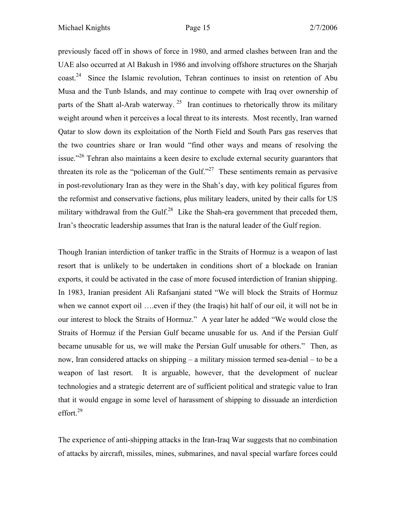previously faced off in shows of force in 1980, and armed clashes between Iran and the UAE also occurred at Al Bakush in 1986 and involving offshore structures on the Sharjah coast.24 Since the Islamic revolution, Tehran continues to insist on retention of Abu Musa and the Tunb Islands, and may continue to compete with Iraq over ownership of parts of the Shatt al-Arab waterway.<sup>25</sup> Iran continues to rhetorically throw its military weight around when it perceives a local threat to its interests. Most recently, Iran warned Qatar to slow down its exploitation of the North Field and South Pars gas reserves that the two countries share or Iran would "find other ways and means of resolving the issue."<sup>26</sup> Tehran also maintains a keen desire to exclude external security guarantors that threaten its role as the "policeman of the Gulf."<sup>27</sup> These sentiments remain as pervasive in post-revolutionary Iran as they were in the Shah's day, with key political figures from the reformist and conservative factions, plus military leaders, united by their calls for US military withdrawal from the Gulf.<sup>28</sup> Like the Shah-era government that preceded them, Iran's theocratic leadership assumes that Iran is the natural leader of the Gulf region.

Though Iranian interdiction of tanker traffic in the Straits of Hormuz is a weapon of last resort that is unlikely to be undertaken in conditions short of a blockade on Iranian exports, it could be activated in the case of more focused interdiction of Iranian shipping. In 1983, Iranian president Ali Rafsanjani stated "We will block the Straits of Hormuz when we cannot export oil ....even if they (the Iraqis) hit half of our oil, it will not be in our interest to block the Straits of Hormuz." A year later he added "We would close the Straits of Hormuz if the Persian Gulf became unusable for us. And if the Persian Gulf became unusable for us, we will make the Persian Gulf unusable for others." Then, as now, Iran considered attacks on shipping – a military mission termed sea-denial – to be a weapon of last resort. It is arguable, however, that the development of nuclear technologies and a strategic deterrent are of sufficient political and strategic value to Iran that it would engage in some level of harassment of shipping to dissuade an interdiction effort.<sup>29</sup>

The experience of anti-shipping attacks in the Iran-Iraq War suggests that no combination of attacks by aircraft, missiles, mines, submarines, and naval special warfare forces could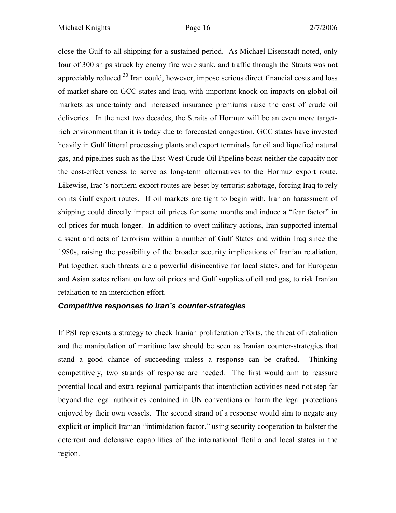close the Gulf to all shipping for a sustained period. As Michael Eisenstadt noted, only four of 300 ships struck by enemy fire were sunk, and traffic through the Straits was not appreciably reduced.30 Iran could, however, impose serious direct financial costs and loss of market share on GCC states and Iraq, with important knock-on impacts on global oil markets as uncertainty and increased insurance premiums raise the cost of crude oil deliveries. In the next two decades, the Straits of Hormuz will be an even more targetrich environment than it is today due to forecasted congestion. GCC states have invested heavily in Gulf littoral processing plants and export terminals for oil and liquefied natural gas, and pipelines such as the East-West Crude Oil Pipeline boast neither the capacity nor the cost-effectiveness to serve as long-term alternatives to the Hormuz export route. Likewise, Iraq's northern export routes are beset by terrorist sabotage, forcing Iraq to rely on its Gulf export routes. If oil markets are tight to begin with, Iranian harassment of shipping could directly impact oil prices for some months and induce a "fear factor" in oil prices for much longer. In addition to overt military actions, Iran supported internal dissent and acts of terrorism within a number of Gulf States and within Iraq since the 1980s, raising the possibility of the broader security implications of Iranian retaliation. Put together, such threats are a powerful disincentive for local states, and for European and Asian states reliant on low oil prices and Gulf supplies of oil and gas, to risk Iranian retaliation to an interdiction effort.

# *Competitive responses to Iran's counter-strategies*

If PSI represents a strategy to check Iranian proliferation efforts, the threat of retaliation and the manipulation of maritime law should be seen as Iranian counter-strategies that stand a good chance of succeeding unless a response can be crafted. Thinking competitively, two strands of response are needed. The first would aim to reassure potential local and extra-regional participants that interdiction activities need not step far beyond the legal authorities contained in UN conventions or harm the legal protections enjoyed by their own vessels. The second strand of a response would aim to negate any explicit or implicit Iranian "intimidation factor," using security cooperation to bolster the deterrent and defensive capabilities of the international flotilla and local states in the region.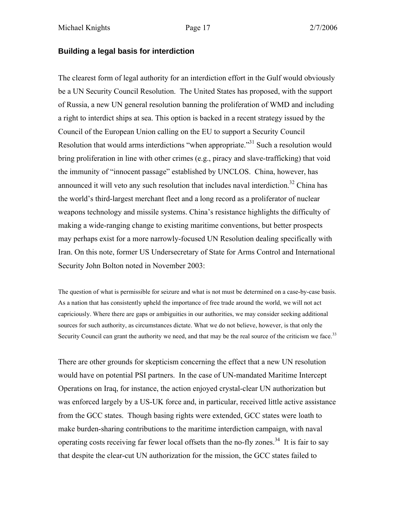### **Building a legal basis for interdiction**

The clearest form of legal authority for an interdiction effort in the Gulf would obviously be a UN Security Council Resolution. The United States has proposed, with the support of Russia, a new UN general resolution banning the proliferation of WMD and including a right to interdict ships at sea. This option is backed in a recent strategy issued by the Council of the European Union calling on the EU to support a Security Council Resolution that would arms interdictions "when appropriate."31 Such a resolution would bring proliferation in line with other crimes (e.g., piracy and slave-trafficking) that void the immunity of "innocent passage" established by UNCLOS. China, however, has announced it will veto any such resolution that includes naval interdiction.<sup>32</sup> China has the world's third-largest merchant fleet and a long record as a proliferator of nuclear weapons technology and missile systems. China's resistance highlights the difficulty of making a wide-ranging change to existing maritime conventions, but better prospects may perhaps exist for a more narrowly-focused UN Resolution dealing specifically with Iran. On this note, former US Undersecretary of State for Arms Control and International Security John Bolton noted in November 2003:

The question of what is permissible for seizure and what is not must be determined on a case-by-case basis. As a nation that has consistently upheld the importance of free trade around the world, we will not act capriciously. Where there are gaps or ambiguities in our authorities, we may consider seeking additional sources for such authority, as circumstances dictate. What we do not believe, however, is that only the Security Council can grant the authority we need, and that may be the real source of the criticism we face.<sup>33</sup>

There are other grounds for skepticism concerning the effect that a new UN resolution would have on potential PSI partners. In the case of UN-mandated Maritime Intercept Operations on Iraq, for instance, the action enjoyed crystal-clear UN authorization but was enforced largely by a US-UK force and, in particular, received little active assistance from the GCC states. Though basing rights were extended, GCC states were loath to make burden-sharing contributions to the maritime interdiction campaign, with naval operating costs receiving far fewer local offsets than the no-fly zones.<sup>34</sup> It is fair to say that despite the clear-cut UN authorization for the mission, the GCC states failed to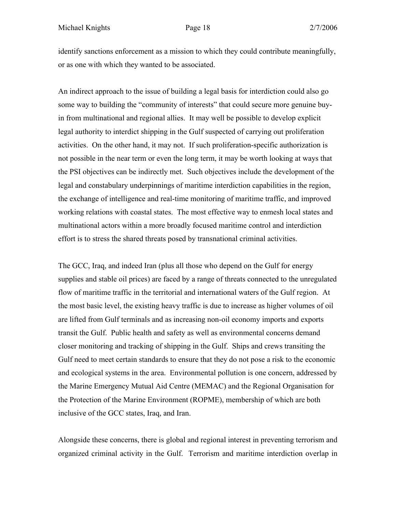identify sanctions enforcement as a mission to which they could contribute meaningfully, or as one with which they wanted to be associated.

An indirect approach to the issue of building a legal basis for interdiction could also go some way to building the "community of interests" that could secure more genuine buyin from multinational and regional allies. It may well be possible to develop explicit legal authority to interdict shipping in the Gulf suspected of carrying out proliferation activities. On the other hand, it may not. If such proliferation-specific authorization is not possible in the near term or even the long term, it may be worth looking at ways that the PSI objectives can be indirectly met. Such objectives include the development of the legal and constabulary underpinnings of maritime interdiction capabilities in the region, the exchange of intelligence and real-time monitoring of maritime traffic, and improved working relations with coastal states. The most effective way to enmesh local states and multinational actors within a more broadly focused maritime control and interdiction effort is to stress the shared threats posed by transnational criminal activities.

The GCC, Iraq, and indeed Iran (plus all those who depend on the Gulf for energy supplies and stable oil prices) are faced by a range of threats connected to the unregulated flow of maritime traffic in the territorial and international waters of the Gulf region. At the most basic level, the existing heavy traffic is due to increase as higher volumes of oil are lifted from Gulf terminals and as increasing non-oil economy imports and exports transit the Gulf. Public health and safety as well as environmental concerns demand closer monitoring and tracking of shipping in the Gulf. Ships and crews transiting the Gulf need to meet certain standards to ensure that they do not pose a risk to the economic and ecological systems in the area. Environmental pollution is one concern, addressed by the Marine Emergency Mutual Aid Centre (MEMAC) and the Regional Organisation for the Protection of the Marine Environment (ROPME), membership of which are both inclusive of the GCC states, Iraq, and Iran.

Alongside these concerns, there is global and regional interest in preventing terrorism and organized criminal activity in the Gulf. Terrorism and maritime interdiction overlap in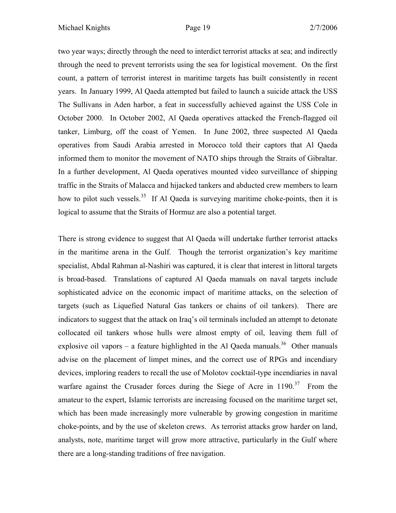two year ways; directly through the need to interdict terrorist attacks at sea; and indirectly through the need to prevent terrorists using the sea for logistical movement. On the first count, a pattern of terrorist interest in maritime targets has built consistently in recent years. In January 1999, Al Qaeda attempted but failed to launch a suicide attack the USS The Sullivans in Aden harbor, a feat in successfully achieved against the USS Cole in October 2000. In October 2002, Al Qaeda operatives attacked the French-flagged oil tanker, Limburg, off the coast of Yemen. In June 2002, three suspected Al Qaeda operatives from Saudi Arabia arrested in Morocco told their captors that Al Qaeda informed them to monitor the movement of NATO ships through the Straits of Gibraltar. In a further development, Al Qaeda operatives mounted video surveillance of shipping traffic in the Straits of Malacca and hijacked tankers and abducted crew members to learn how to pilot such vessels.<sup>35</sup> If Al Qaeda is surveying maritime choke-points, then it is logical to assume that the Straits of Hormuz are also a potential target.

There is strong evidence to suggest that Al Qaeda will undertake further terrorist attacks in the maritime arena in the Gulf. Though the terrorist organization's key maritime specialist, Abdal Rahman al-Nashiri was captured, it is clear that interest in littoral targets is broad-based. Translations of captured Al Qaeda manuals on naval targets include sophisticated advice on the economic impact of maritime attacks, on the selection of targets (such as Liquefied Natural Gas tankers or chains of oil tankers). There are indicators to suggest that the attack on Iraq's oil terminals included an attempt to detonate collocated oil tankers whose hulls were almost empty of oil, leaving them full of explosive oil vapors – a feature highlighted in the Al Qaeda manuals.<sup>36</sup> Other manuals advise on the placement of limpet mines, and the correct use of RPGs and incendiary devices, imploring readers to recall the use of Molotov cocktail-type incendiaries in naval warfare against the Crusader forces during the Siege of Acre in  $1190$ <sup>37</sup> From the amateur to the expert, Islamic terrorists are increasing focused on the maritime target set, which has been made increasingly more vulnerable by growing congestion in maritime choke-points, and by the use of skeleton crews. As terrorist attacks grow harder on land, analysts, note, maritime target will grow more attractive, particularly in the Gulf where there are a long-standing traditions of free navigation.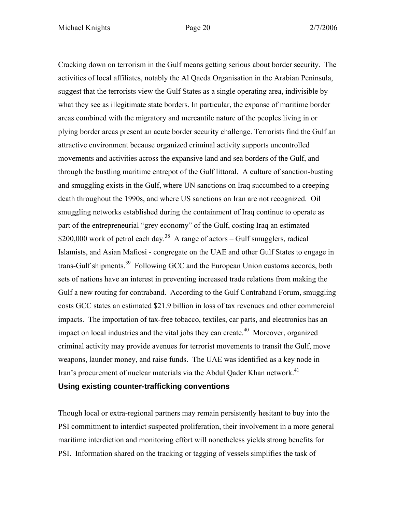Cracking down on terrorism in the Gulf means getting serious about border security. The activities of local affiliates, notably the Al Qaeda Organisation in the Arabian Peninsula, suggest that the terrorists view the Gulf States as a single operating area, indivisible by what they see as illegitimate state borders. In particular, the expanse of maritime border areas combined with the migratory and mercantile nature of the peoples living in or plying border areas present an acute border security challenge. Terrorists find the Gulf an attractive environment because organized criminal activity supports uncontrolled movements and activities across the expansive land and sea borders of the Gulf, and through the bustling maritime entrepot of the Gulf littoral. A culture of sanction-busting and smuggling exists in the Gulf, where UN sanctions on Iraq succumbed to a creeping death throughout the 1990s, and where US sanctions on Iran are not recognized. Oil smuggling networks established during the containment of Iraq continue to operate as part of the entrepreneurial "grey economy" of the Gulf, costing Iraq an estimated \$200,000 work of petrol each day.<sup>38</sup> A range of actors – Gulf smugglers, radical Islamists, and Asian Mafiosi - congregate on the UAE and other Gulf States to engage in trans-Gulf shipments.<sup>39</sup> Following GCC and the European Union customs accords, both sets of nations have an interest in preventing increased trade relations from making the Gulf a new routing for contraband. According to the Gulf Contraband Forum, smuggling costs GCC states an estimated \$21.9 billion in loss of tax revenues and other commercial impacts. The importation of tax-free tobacco, textiles, car parts, and electronics has an impact on local industries and the vital jobs they can create.<sup> $40$ </sup> Moreover, organized criminal activity may provide avenues for terrorist movements to transit the Gulf, move weapons, launder money, and raise funds. The UAE was identified as a key node in Iran's procurement of nuclear materials via the Abdul Qader Khan network.<sup>41</sup> **Using existing counter-trafficking conventions**

Though local or extra-regional partners may remain persistently hesitant to buy into the PSI commitment to interdict suspected proliferation, their involvement in a more general maritime interdiction and monitoring effort will nonetheless yields strong benefits for PSI. Information shared on the tracking or tagging of vessels simplifies the task of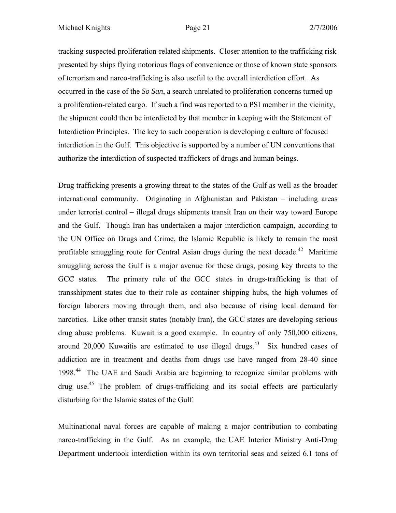tracking suspected proliferation-related shipments. Closer attention to the trafficking risk presented by ships flying notorious flags of convenience or those of known state sponsors of terrorism and narco-trafficking is also useful to the overall interdiction effort. As occurred in the case of the *So San*, a search unrelated to proliferation concerns turned up a proliferation-related cargo. If such a find was reported to a PSI member in the vicinity, the shipment could then be interdicted by that member in keeping with the Statement of Interdiction Principles. The key to such cooperation is developing a culture of focused interdiction in the Gulf. This objective is supported by a number of UN conventions that authorize the interdiction of suspected traffickers of drugs and human beings.

Drug trafficking presents a growing threat to the states of the Gulf as well as the broader international community. Originating in Afghanistan and Pakistan – including areas under terrorist control – illegal drugs shipments transit Iran on their way toward Europe and the Gulf. Though Iran has undertaken a major interdiction campaign, according to the UN Office on Drugs and Crime, the Islamic Republic is likely to remain the most profitable smuggling route for Central Asian drugs during the next decade.<sup>42</sup> Maritime smuggling across the Gulf is a major avenue for these drugs, posing key threats to the GCC states. The primary role of the GCC states in drugs-trafficking is that of transshipment states due to their role as container shipping hubs, the high volumes of foreign laborers moving through them, and also because of rising local demand for narcotics. Like other transit states (notably Iran), the GCC states are developing serious drug abuse problems. Kuwait is a good example. In country of only 750,000 citizens, around 20,000 Kuwaitis are estimated to use illegal drugs.<sup>43</sup> Six hundred cases of addiction are in treatment and deaths from drugs use have ranged from 28-40 since 1998.44 The UAE and Saudi Arabia are beginning to recognize similar problems with drug use.<sup>45</sup> The problem of drugs-trafficking and its social effects are particularly disturbing for the Islamic states of the Gulf.

Multinational naval forces are capable of making a major contribution to combating narco-trafficking in the Gulf. As an example, the UAE Interior Ministry Anti-Drug Department undertook interdiction within its own territorial seas and seized 6.1 tons of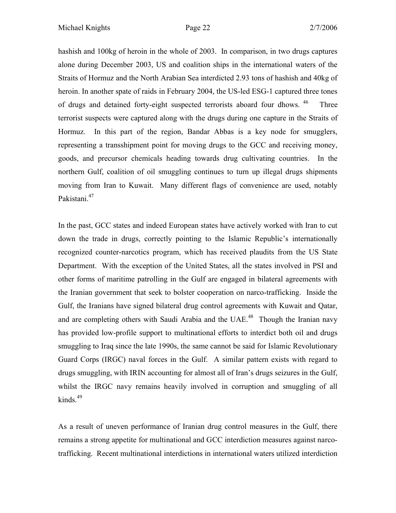hashish and 100kg of heroin in the whole of 2003. In comparison, in two drugs captures alone during December 2003, US and coalition ships in the international waters of the Straits of Hormuz and the North Arabian Sea interdicted 2.93 tons of hashish and 40kg of heroin. In another spate of raids in February 2004, the US-led ESG-1 captured three tones of drugs and detained forty-eight suspected terrorists aboard four dhows. <sup>46</sup> Three terrorist suspects were captured along with the drugs during one capture in the Straits of Hormuz. In this part of the region, Bandar Abbas is a key node for smugglers, representing a transshipment point for moving drugs to the GCC and receiving money, goods, and precursor chemicals heading towards drug cultivating countries. In the northern Gulf, coalition of oil smuggling continues to turn up illegal drugs shipments moving from Iran to Kuwait. Many different flags of convenience are used, notably Pakistani.<sup>47</sup>

In the past, GCC states and indeed European states have actively worked with Iran to cut down the trade in drugs, correctly pointing to the Islamic Republic's internationally recognized counter-narcotics program, which has received plaudits from the US State Department. With the exception of the United States, all the states involved in PSI and other forms of maritime patrolling in the Gulf are engaged in bilateral agreements with the Iranian government that seek to bolster cooperation on narco-trafficking. Inside the Gulf, the Iranians have signed bilateral drug control agreements with Kuwait and Qatar, and are completing others with Saudi Arabia and the UAE.<sup>48</sup> Though the Iranian navy has provided low-profile support to multinational efforts to interdict both oil and drugs smuggling to Iraq since the late 1990s, the same cannot be said for Islamic Revolutionary Guard Corps (IRGC) naval forces in the Gulf. A similar pattern exists with regard to drugs smuggling, with IRIN accounting for almost all of Iran's drugs seizures in the Gulf, whilst the IRGC navy remains heavily involved in corruption and smuggling of all kinds. $49$ 

As a result of uneven performance of Iranian drug control measures in the Gulf, there remains a strong appetite for multinational and GCC interdiction measures against narcotrafficking. Recent multinational interdictions in international waters utilized interdiction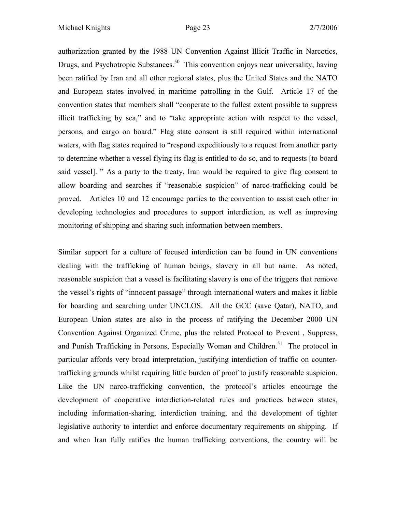authorization granted by the 1988 UN Convention Against Illicit Traffic in Narcotics, Drugs, and Psychotropic Substances.<sup>50</sup> This convention enjoys near universality, having been ratified by Iran and all other regional states, plus the United States and the NATO and European states involved in maritime patrolling in the Gulf. Article 17 of the convention states that members shall "cooperate to the fullest extent possible to suppress illicit trafficking by sea," and to "take appropriate action with respect to the vessel, persons, and cargo on board." Flag state consent is still required within international waters, with flag states required to "respond expeditiously to a request from another party to determine whether a vessel flying its flag is entitled to do so, and to requests [to board said vessel]. " As a party to the treaty, Iran would be required to give flag consent to allow boarding and searches if "reasonable suspicion" of narco-trafficking could be proved. Articles 10 and 12 encourage parties to the convention to assist each other in developing technologies and procedures to support interdiction, as well as improving monitoring of shipping and sharing such information between members.

Similar support for a culture of focused interdiction can be found in UN conventions dealing with the trafficking of human beings, slavery in all but name. As noted, reasonable suspicion that a vessel is facilitating slavery is one of the triggers that remove the vessel's rights of "innocent passage" through international waters and makes it liable for boarding and searching under UNCLOS. All the GCC (save Qatar), NATO, and European Union states are also in the process of ratifying the December 2000 UN Convention Against Organized Crime, plus the related Protocol to Prevent , Suppress, and Punish Trafficking in Persons, Especially Woman and Children.<sup>51</sup> The protocol in particular affords very broad interpretation, justifying interdiction of traffic on countertrafficking grounds whilst requiring little burden of proof to justify reasonable suspicion. Like the UN narco-trafficking convention, the protocol's articles encourage the development of cooperative interdiction-related rules and practices between states, including information-sharing, interdiction training, and the development of tighter legislative authority to interdict and enforce documentary requirements on shipping. If and when Iran fully ratifies the human trafficking conventions, the country will be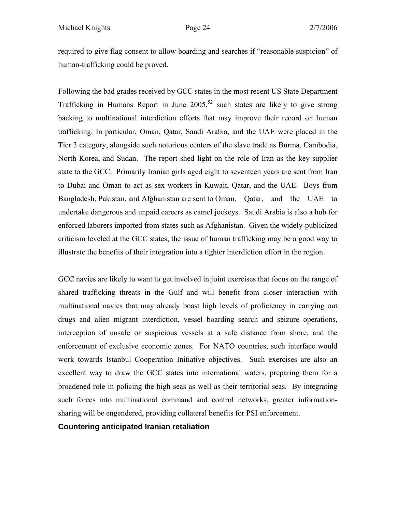required to give flag consent to allow boarding and searches if "reasonable suspicion" of human-trafficking could be proved.

Following the bad grades received by GCC states in the most recent US State Department Trafficking in Humans Report in June  $2005$ ,<sup>52</sup> such states are likely to give strong backing to multinational interdiction efforts that may improve their record on human trafficking. In particular, Oman, Qatar, Saudi Arabia, and the UAE were placed in the Tier 3 category, alongside such notorious centers of the slave trade as Burma, Cambodia, North Korea, and Sudan. The report shed light on the role of Iran as the key supplier state to the GCC. Primarily Iranian girls aged eight to seventeen years are sent from Iran to Dubai and Oman to act as sex workers in Kuwait, Qatar, and the UAE. Boys from Bangladesh, Pakistan, and Afghanistan are sent to Oman, Qatar, and the UAE to undertake dangerous and unpaid careers as camel jockeys. Saudi Arabia is also a hub for enforced laborers imported from states such as Afghanistan. Given the widely-publicized criticism leveled at the GCC states, the issue of human trafficking may be a good way to illustrate the benefits of their integration into a tighter interdiction effort in the region.

GCC navies are likely to want to get involved in joint exercises that focus on the range of shared trafficking threats in the Gulf and will benefit from closer interaction with multinational navies that may already boast high levels of proficiency in carrying out drugs and alien migrant interdiction, vessel boarding search and seizure operations, interception of unsafe or suspicious vessels at a safe distance from shore, and the enforcement of exclusive economic zones. For NATO countries, such interface would work towards Istanbul Cooperation Initiative objectives. Such exercises are also an excellent way to draw the GCC states into international waters, preparing them for a broadened role in policing the high seas as well as their territorial seas. By integrating such forces into multinational command and control networks, greater informationsharing will be engendered, providing collateral benefits for PSI enforcement.

# **Countering anticipated Iranian retaliation**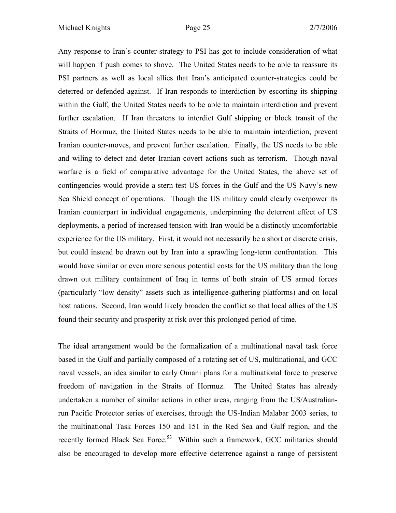Any response to Iran's counter-strategy to PSI has got to include consideration of what will happen if push comes to shove. The United States needs to be able to reassure its PSI partners as well as local allies that Iran's anticipated counter-strategies could be deterred or defended against. If Iran responds to interdiction by escorting its shipping within the Gulf, the United States needs to be able to maintain interdiction and prevent further escalation. If Iran threatens to interdict Gulf shipping or block transit of the Straits of Hormuz, the United States needs to be able to maintain interdiction, prevent Iranian counter-moves, and prevent further escalation. Finally, the US needs to be able and wiling to detect and deter Iranian covert actions such as terrorism. Though naval warfare is a field of comparative advantage for the United States, the above set of contingencies would provide a stern test US forces in the Gulf and the US Navy's new Sea Shield concept of operations. Though the US military could clearly overpower its Iranian counterpart in individual engagements, underpinning the deterrent effect of US deployments, a period of increased tension with Iran would be a distinctly uncomfortable experience for the US military. First, it would not necessarily be a short or discrete crisis, but could instead be drawn out by Iran into a sprawling long-term confrontation. This would have similar or even more serious potential costs for the US military than the long drawn out military containment of Iraq in terms of both strain of US armed forces (particularly "low density" assets such as intelligence-gathering platforms) and on local host nations. Second, Iran would likely broaden the conflict so that local allies of the US found their security and prosperity at risk over this prolonged period of time.

The ideal arrangement would be the formalization of a multinational naval task force based in the Gulf and partially composed of a rotating set of US, multinational, and GCC naval vessels, an idea similar to early Omani plans for a multinational force to preserve freedom of navigation in the Straits of Hormuz. The United States has already undertaken a number of similar actions in other areas, ranging from the US/Australianrun Pacific Protector series of exercises, through the US-Indian Malabar 2003 series, to the multinational Task Forces 150 and 151 in the Red Sea and Gulf region, and the recently formed Black Sea Force.<sup>53</sup> Within such a framework, GCC militaries should also be encouraged to develop more effective deterrence against a range of persistent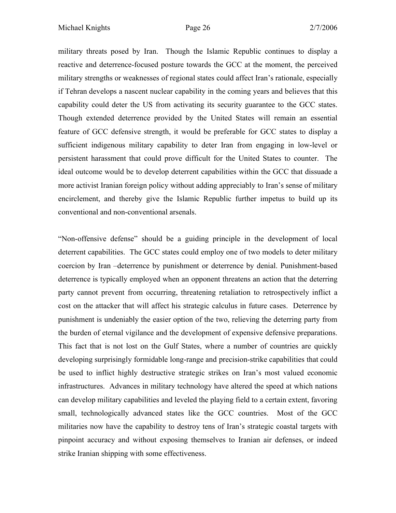military threats posed by Iran. Though the Islamic Republic continues to display a reactive and deterrence-focused posture towards the GCC at the moment, the perceived military strengths or weaknesses of regional states could affect Iran's rationale, especially if Tehran develops a nascent nuclear capability in the coming years and believes that this capability could deter the US from activating its security guarantee to the GCC states. Though extended deterrence provided by the United States will remain an essential feature of GCC defensive strength, it would be preferable for GCC states to display a sufficient indigenous military capability to deter Iran from engaging in low-level or persistent harassment that could prove difficult for the United States to counter. The ideal outcome would be to develop deterrent capabilities within the GCC that dissuade a more activist Iranian foreign policy without adding appreciably to Iran's sense of military encirclement, and thereby give the Islamic Republic further impetus to build up its conventional and non-conventional arsenals.

"Non-offensive defense" should be a guiding principle in the development of local deterrent capabilities. The GCC states could employ one of two models to deter military coercion by Iran –deterrence by punishment or deterrence by denial. Punishment-based deterrence is typically employed when an opponent threatens an action that the deterring party cannot prevent from occurring, threatening retaliation to retrospectively inflict a cost on the attacker that will affect his strategic calculus in future cases. Deterrence by punishment is undeniably the easier option of the two, relieving the deterring party from the burden of eternal vigilance and the development of expensive defensive preparations. This fact that is not lost on the Gulf States, where a number of countries are quickly developing surprisingly formidable long-range and precision-strike capabilities that could be used to inflict highly destructive strategic strikes on Iran's most valued economic infrastructures. Advances in military technology have altered the speed at which nations can develop military capabilities and leveled the playing field to a certain extent, favoring small, technologically advanced states like the GCC countries. Most of the GCC militaries now have the capability to destroy tens of Iran's strategic coastal targets with pinpoint accuracy and without exposing themselves to Iranian air defenses, or indeed strike Iranian shipping with some effectiveness.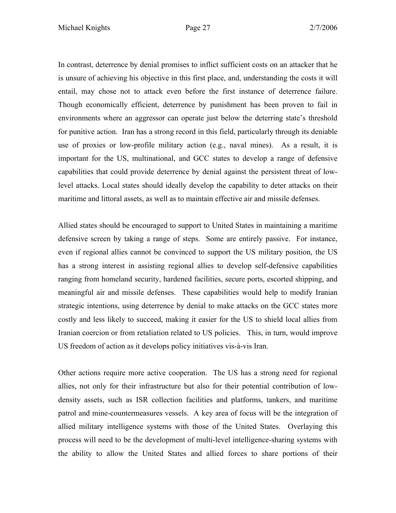In contrast, deterrence by denial promises to inflict sufficient costs on an attacker that he is unsure of achieving his objective in this first place, and, understanding the costs it will entail, may chose not to attack even before the first instance of deterrence failure. Though economically efficient, deterrence by punishment has been proven to fail in environments where an aggressor can operate just below the deterring state's threshold for punitive action. Iran has a strong record in this field, particularly through its deniable use of proxies or low-profile military action (e.g., naval mines). As a result, it is important for the US, multinational, and GCC states to develop a range of defensive capabilities that could provide deterrence by denial against the persistent threat of lowlevel attacks. Local states should ideally develop the capability to deter attacks on their maritime and littoral assets, as well as to maintain effective air and missile defenses.

Allied states should be encouraged to support to United States in maintaining a maritime defensive screen by taking a range of steps. Some are entirely passive. For instance, even if regional allies cannot be convinced to support the US military position, the US has a strong interest in assisting regional allies to develop self-defensive capabilities ranging from homeland security, hardened facilities, secure ports, escorted shipping, and meaningful air and missile defenses. These capabilities would help to modify Iranian strategic intentions, using deterrence by denial to make attacks on the GCC states more costly and less likely to succeed, making it easier for the US to shield local allies from Iranian coercion or from retaliation related to US policies. This, in turn, would improve US freedom of action as it develops policy initiatives vis-à-vis Iran.

Other actions require more active cooperation. The US has a strong need for regional allies, not only for their infrastructure but also for their potential contribution of lowdensity assets, such as ISR collection facilities and platforms, tankers, and maritime patrol and mine-countermeasures vessels. A key area of focus will be the integration of allied military intelligence systems with those of the United States. Overlaying this process will need to be the development of multi-level intelligence-sharing systems with the ability to allow the United States and allied forces to share portions of their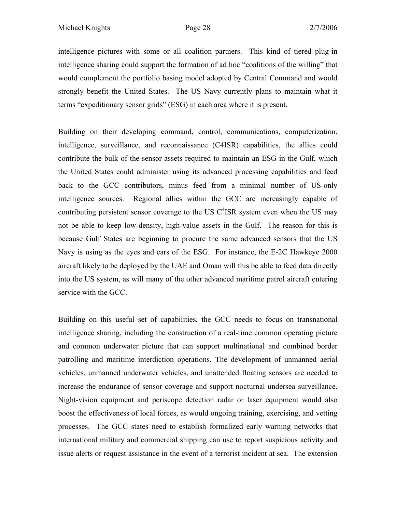intelligence pictures with some or all coalition partners. This kind of tiered plug-in intelligence sharing could support the formation of ad hoc "coalitions of the willing" that would complement the portfolio basing model adopted by Central Command and would strongly benefit the United States. The US Navy currently plans to maintain what it terms "expeditionary sensor grids" (ESG) in each area where it is present.

Building on their developing command, control, communications, computerization, intelligence, surveillance, and reconnaissance (C4ISR) capabilities, the allies could contribute the bulk of the sensor assets required to maintain an ESG in the Gulf, which the United States could administer using its advanced processing capabilities and feed back to the GCC contributors, minus feed from a minimal number of US-only intelligence sources. Regional allies within the GCC are increasingly capable of contributing persistent sensor coverage to the US  $C<sup>4</sup>$ ISR system even when the US may not be able to keep low-density, high-value assets in the Gulf. The reason for this is because Gulf States are beginning to procure the same advanced sensors that the US Navy is using as the eyes and ears of the ESG. For instance, the E-2C Hawkeye 2000 aircraft likely to be deployed by the UAE and Oman will this be able to feed data directly into the US system, as will many of the other advanced maritime patrol aircraft entering service with the GCC.

Building on this useful set of capabilities, the GCC needs to focus on transnational intelligence sharing, including the construction of a real-time common operating picture and common underwater picture that can support multinational and combined border patrolling and maritime interdiction operations. The development of unmanned aerial vehicles, unmanned underwater vehicles, and unattended floating sensors are needed to increase the endurance of sensor coverage and support nocturnal undersea surveillance. Night-vision equipment and periscope detection radar or laser equipment would also boost the effectiveness of local forces, as would ongoing training, exercising, and vetting processes. The GCC states need to establish formalized early warning networks that international military and commercial shipping can use to report suspicious activity and issue alerts or request assistance in the event of a terrorist incident at sea. The extension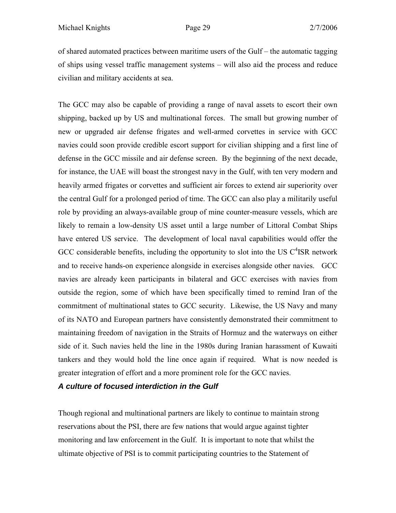of shared automated practices between maritime users of the Gulf – the automatic tagging of ships using vessel traffic management systems – will also aid the process and reduce civilian and military accidents at sea.

The GCC may also be capable of providing a range of naval assets to escort their own shipping, backed up by US and multinational forces. The small but growing number of new or upgraded air defense frigates and well-armed corvettes in service with GCC navies could soon provide credible escort support for civilian shipping and a first line of defense in the GCC missile and air defense screen. By the beginning of the next decade, for instance, the UAE will boast the strongest navy in the Gulf, with ten very modern and heavily armed frigates or corvettes and sufficient air forces to extend air superiority over the central Gulf for a prolonged period of time. The GCC can also play a militarily useful role by providing an always-available group of mine counter-measure vessels, which are likely to remain a low-density US asset until a large number of Littoral Combat Ships have entered US service. The development of local naval capabilities would offer the GCC considerable benefits, including the opportunity to slot into the US  $C<sup>4</sup>$ ISR network and to receive hands-on experience alongside in exercises alongside other navies. GCC navies are already keen participants in bilateral and GCC exercises with navies from outside the region, some of which have been specifically timed to remind Iran of the commitment of multinational states to GCC security. Likewise, the US Navy and many of its NATO and European partners have consistently demonstrated their commitment to maintaining freedom of navigation in the Straits of Hormuz and the waterways on either side of it. Such navies held the line in the 1980s during Iranian harassment of Kuwaiti tankers and they would hold the line once again if required. What is now needed is greater integration of effort and a more prominent role for the GCC navies.

*A culture of focused interdiction in the Gulf*

Though regional and multinational partners are likely to continue to maintain strong reservations about the PSI, there are few nations that would argue against tighter monitoring and law enforcement in the Gulf. It is important to note that whilst the ultimate objective of PSI is to commit participating countries to the Statement of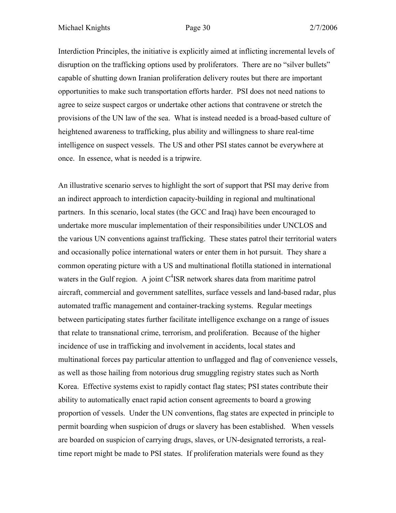Interdiction Principles, the initiative is explicitly aimed at inflicting incremental levels of disruption on the trafficking options used by proliferators. There are no "silver bullets" capable of shutting down Iranian proliferation delivery routes but there are important opportunities to make such transportation efforts harder. PSI does not need nations to agree to seize suspect cargos or undertake other actions that contravene or stretch the provisions of the UN law of the sea. What is instead needed is a broad-based culture of heightened awareness to trafficking, plus ability and willingness to share real-time intelligence on suspect vessels. The US and other PSI states cannot be everywhere at once. In essence, what is needed is a tripwire.

An illustrative scenario serves to highlight the sort of support that PSI may derive from an indirect approach to interdiction capacity-building in regional and multinational partners. In this scenario, local states (the GCC and Iraq) have been encouraged to undertake more muscular implementation of their responsibilities under UNCLOS and the various UN conventions against trafficking. These states patrol their territorial waters and occasionally police international waters or enter them in hot pursuit. They share a common operating picture with a US and multinational flotilla stationed in international waters in the Gulf region. A joint  $C<sup>4</sup>$ ISR network shares data from maritime patrol aircraft, commercial and government satellites, surface vessels and land-based radar, plus automated traffic management and container-tracking systems. Regular meetings between participating states further facilitate intelligence exchange on a range of issues that relate to transnational crime, terrorism, and proliferation. Because of the higher incidence of use in trafficking and involvement in accidents, local states and multinational forces pay particular attention to unflagged and flag of convenience vessels, as well as those hailing from notorious drug smuggling registry states such as North Korea. Effective systems exist to rapidly contact flag states; PSI states contribute their ability to automatically enact rapid action consent agreements to board a growing proportion of vessels. Under the UN conventions, flag states are expected in principle to permit boarding when suspicion of drugs or slavery has been established. When vessels are boarded on suspicion of carrying drugs, slaves, or UN-designated terrorists, a realtime report might be made to PSI states. If proliferation materials were found as they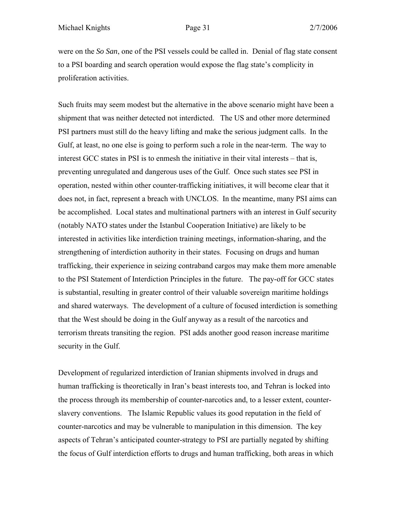were on the *So San*, one of the PSI vessels could be called in. Denial of flag state consent to a PSI boarding and search operation would expose the flag state's complicity in proliferation activities.

Such fruits may seem modest but the alternative in the above scenario might have been a shipment that was neither detected not interdicted. The US and other more determined PSI partners must still do the heavy lifting and make the serious judgment calls. In the Gulf, at least, no one else is going to perform such a role in the near-term. The way to interest GCC states in PSI is to enmesh the initiative in their vital interests – that is, preventing unregulated and dangerous uses of the Gulf. Once such states see PSI in operation, nested within other counter-trafficking initiatives, it will become clear that it does not, in fact, represent a breach with UNCLOS. In the meantime, many PSI aims can be accomplished. Local states and multinational partners with an interest in Gulf security (notably NATO states under the Istanbul Cooperation Initiative) are likely to be interested in activities like interdiction training meetings, information-sharing, and the strengthening of interdiction authority in their states. Focusing on drugs and human trafficking, their experience in seizing contraband cargos may make them more amenable to the PSI Statement of Interdiction Principles in the future. The pay-off for GCC states is substantial, resulting in greater control of their valuable sovereign maritime holdings and shared waterways. The development of a culture of focused interdiction is something that the West should be doing in the Gulf anyway as a result of the narcotics and terrorism threats transiting the region. PSI adds another good reason increase maritime security in the Gulf.

Development of regularized interdiction of Iranian shipments involved in drugs and human trafficking is theoretically in Iran's beast interests too, and Tehran is locked into the process through its membership of counter-narcotics and, to a lesser extent, counterslavery conventions. The Islamic Republic values its good reputation in the field of counter-narcotics and may be vulnerable to manipulation in this dimension. The key aspects of Tehran's anticipated counter-strategy to PSI are partially negated by shifting the focus of Gulf interdiction efforts to drugs and human trafficking, both areas in which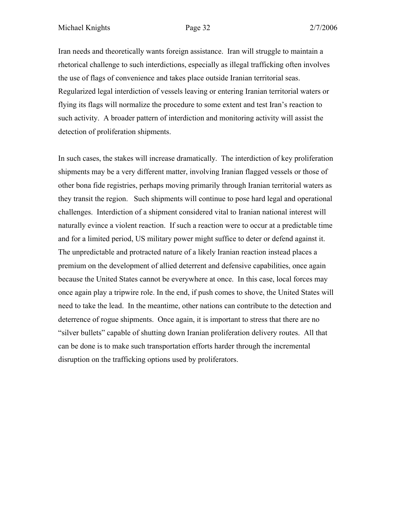Iran needs and theoretically wants foreign assistance. Iran will struggle to maintain a rhetorical challenge to such interdictions, especially as illegal trafficking often involves the use of flags of convenience and takes place outside Iranian territorial seas. Regularized legal interdiction of vessels leaving or entering Iranian territorial waters or flying its flags will normalize the procedure to some extent and test Iran's reaction to such activity. A broader pattern of interdiction and monitoring activity will assist the detection of proliferation shipments.

In such cases, the stakes will increase dramatically. The interdiction of key proliferation shipments may be a very different matter, involving Iranian flagged vessels or those of other bona fide registries, perhaps moving primarily through Iranian territorial waters as they transit the region. Such shipments will continue to pose hard legal and operational challenges. Interdiction of a shipment considered vital to Iranian national interest will naturally evince a violent reaction. If such a reaction were to occur at a predictable time and for a limited period, US military power might suffice to deter or defend against it. The unpredictable and protracted nature of a likely Iranian reaction instead places a premium on the development of allied deterrent and defensive capabilities, once again because the United States cannot be everywhere at once. In this case, local forces may once again play a tripwire role. In the end, if push comes to shove, the United States will need to take the lead. In the meantime, other nations can contribute to the detection and deterrence of rogue shipments. Once again, it is important to stress that there are no "silver bullets" capable of shutting down Iranian proliferation delivery routes. All that can be done is to make such transportation efforts harder through the incremental disruption on the trafficking options used by proliferators.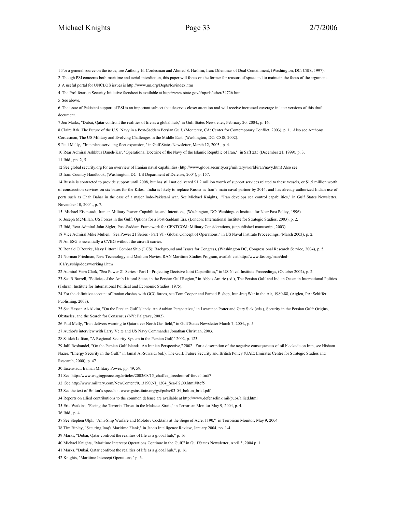9 Paul Melly, "Iran plans servicing fleet expansion," in Gulf States Newsletter, March 12, 2003., p. 4.

10 Rear Admiral Ashkbus Daneh-Kar, "Operational Doctrine of the Navy of the Islamic Republic of Iran," in Saff 235 (December 21, 1999), p. 3. 11 Ibid., pp. 2, 5.

12 See global security.org for an overview of Iranian naval capabilities (http://www.globalsecurity.org/military/world/iran/navy.htm) Also see

13 Iran: Country Handbook, (Washington, DC: US Department of Defense, 2004), p. 157.

14 Russia is contracted to provide support until 2008, but has still not delivered \$1.2 million worth of support services related to these vessels, or \$1.5 million worth of construction services on six bases for the Kilos. India is likely to replace Russia as Iran's main naval partner by 2014, and has already authorized Indian use of ports such as Chah Bahar in the case of a major Indo-Pakistani war. See Michael Knights, "Iran develops sea control capabilities," in Gulf States Newsletter, November 10, 2004., p. 7.

15 Michael Eisenstadt, Iranian Military Power: Capabilities and Intentions, (Washington, DC: Washington Institute for Near East Policy, 1996).

16 Joseph McMillan, US Forces in the Gulf: Options for a Post-Saddam Era, (London: International Institute for Strategic Studies, 2003), p. 2.

17 Ibid, Rear Admiral John Sigler, Post-Saddam Framework for CENTCOM: Military Considerations, (unpublished manuscript, 2003).

18 Vice Admiral Mike Mullen, "Sea Power 21 Series - Part VI - Global Concept of Operations," in US Naval Institute Proceedings, (March 2003), p. 2. 19 An ESG is essentially a CVBG without the aircraft carrier.

20 Ronald O'Rourke, Navy Littoral Combat Ship (LCS): Background and Issues for Congress, (Washington DC, Congressional Research Service, 2004), p. 5.

21 Norman Friedman, New Technology and Medium Navies, RAN Maritime Studies Program, available at http://www.fas.org/man/dod-

101/sys/ship/docs/working1.htm

22 Admiral Vern Clark, "Sea Power 21 Series - Part I - Projecting Decisive Joint Capabilities," in US Naval Institute Proceedings, (October 2002), p. 2.

23 See R Burrell, "Policies of the Arab Littoral States in the Persian Gulf Region," in Abbas Amirie (ed.), The Persian Gulf and Indian Ocean in International Politics (Tehran: Institute for International Political and Economic Studies, 1975).

24 For the definitive account of Iranian clashes with GCC forces, see Tom Cooper and Farhad Bishop, Iran-Iraq War in the Air, 1980-88, (Atglen, PA: Schiffer Publishing, 2003).

25 See Hassan Al-Alkim, "On the Persian Gulf Islands: An Arabian Perspective," in Lawrence Potter and Gary Sick (eds.), Security in the Persian Gulf: Origins, Obstacles, and the Search for Consensus (NY: Palgrave, 2002).

26 Paul Melly, "Iran delivers warning to Oatar over North Gas field," in Gulf States Newsletter March 7, 2004, p. 5.

27 Author's interview with Larry Velte and US Navy Commander Jonathan Christian, 2003.

28 Saideh Loftian, "A Regional Security System in the Persian Gulf," 2002, p. 123.

29 Jalil Roshandel, "On the Persian Gulf Islands: An Iranian Perspective," 2002. For a description of the negative consequences of oil blockade on Iran, see Hisham

Nazer, "Energy Security in the Gulf," in Jamal Al-Suwaidi (ed.), The Gulf: Future Security and British Policy (UAE: Emirates Centre for Strategic Studies and Research, 2000), p. 47.

30 Eisenstadt, Iranian Military Power, pp. 49, 59.

31 See http://www.wagingpeace.org/articles/2003/08/15\_chaffee\_freedom-of-force.htm#7

32 See http://www.military.com/NewContent/0,13190,NI\_1204\_Sea-P2,00.html#Ref5

33 See the text of Bolton's speech at www.gsinstitute.org/gsi/pubs/03-04\_bolton\_brief.pdf

34 Reports on allied contributions to the common defense are available at http://www.defenselink.mil/pubs/allied.html

35 Eric Watkins, "Facing the Terrorist Threat in the Malacca Strait," in Terrorism Monitor May 9, 2004, p. 4.

36 Ibid., p. 4.

37 See Stephen Ulph, "Anti-Ship Warfare and Molotov Cocktails at the Siege of Acre, 1190," in Terrorism Monitor, May 9, 2004.

38 Tim Ripley, "Securing Iraq's Maritime Flank," in Jane's Intelligence Review, January 2004, pp. 1-4.

39 Marks, "Dubai, Qatar confront the realities of life as a global hub," p. 16

40 Michael Knights, "Maritime Intercept Operations Continue in the Gulf," in Gulf States Newsletter, April 3, 2004.p. 1.

41 Marks, "Dubai, Qatar confront the realities of life as a global hub.", p. 16.

42 Knights, "Maritime Intercept Operations," p. 3.

 1 For a general source on the issue, see Anthony H. Cordesman and Ahmed S. Hashim, Iran: Dilemmas of Dual Containment, (Washington, DC: CSIS, 1997).

<sup>2</sup> Though PSI concerns both maritime and aerial interdiction, this paper will focus on the former for reasons of space and to maintain the focus of the argument. 3 A useful portal for UNCLOS issues is http://www.un.org/Depts/los/index.htm

<sup>4</sup> The Proliferation Security Initiative factsheet is available at http://www.state.gov/t/np/rls/other/34726.htm

<sup>5</sup> See above.

<sup>6</sup> The issue of Pakistani support of PSI is an important subject that deserves closer attention and will receive increased coverage in later versions of this draft document.

<sup>7</sup> Jon Marks, "Dubai, Qatar confront the realities of life as a global hub," in Gulf States Newsletter, February 20, 2004., p. 16.

<sup>8</sup> Claire Rak, The Future of the U.S. Navy in a Post-Saddam Persian Gulf, (Monterey, CA: Center for Contemporary Conflict, 2003), p. 1. Also see Anthony Cordesman, The US Military and Evolving Challenges in the Middle East, (Washington, DC: CSIS, 2002).